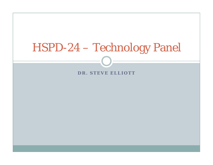# HSPD-24 – Technology Panel HSPD

#### **DR STEVE ELLIOTTD R.**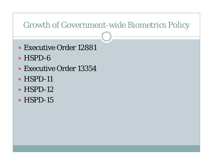#### Growth of Government-wide Biometrics Policy

- Executive Order 12881
- $\bullet$  HSPD-6
- Executive Order 13354
- $\bullet$  HSPD-11
- $\bullet$  HSPD-12
- $\bullet$  HSPD-15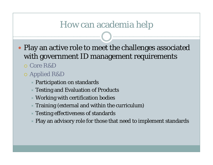### How can academia help

- Play an active role to meet the challenges associated with government ID management requirements
	- { Core R&D
	- o Applied R&D
		- $\blacktriangleright$  Participation on standards
		- $\blacktriangleright$  Testing and Evaluation of Products
		- $\blacktriangleright$  Working with certification bodies
		- $\ast$  Training (external and within the curriculum)
		- $\blacktriangleright$  Testing effectiveness of standards
		- $\blacktriangleright$  Play an advisory role for those that need to implement standards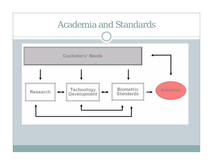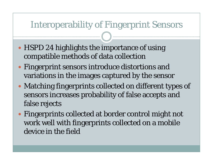# Interoperability of Fingerprint Sensors

- HSPD 24 highlights the importance of using compatible methods of data collection
- Fingerprint sensors introduce distortions and variations in the images captured by the sensor
- Matching fingerprints collected on different types of sensors increases probability of false accepts and false rejects
- Fingerprints collected at border control might not work well with fingerprints collected on a mobile device in the field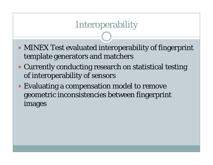# Interoperability

- MINEX Test evaluated interoperability of fingerprint template generators and matchers
- Currently conducting research on statistical testing of interoperability of sensors
- Evaluating a compensation model to remove geometric inconsistencies between fingerprint images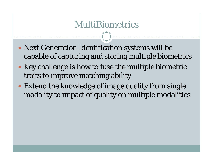### MultiBiometrics

- Next Generation Identification systems will be capable of capturing and storing multiple biometrics
- Key challenge is how to fuse the multiple biometric traits to improve matching ability
- Extend the knowledge of image quality from single modality to impact of quality on multiple modalities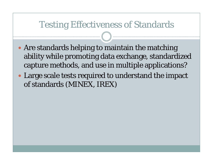#### Testing Effectiveness of Standards

- Are standards helping to maintain the matching ability while promoting data exchange, standardized capture methods, and use in multiple applications?
- Large scale tests required to understand the impact of standards (MINEX, IREX)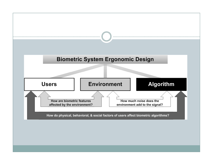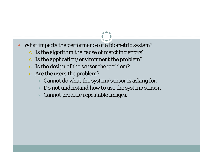- What impacts the performance of a biometric system?
	- $\circ$  Is the algorithm the cause of matching errors?
	- $\circ$  Is the application/environment the problem?
	- $\circ$  Is the design of the sensor the problem?
	- $\bullet$  Are the users the problem?
		- $\star$  Cannot do what the system/sensor is asking for.
		- $\ast$  Do not understand how to use the system/sensor.
		- ÙCannot produce repeatable images.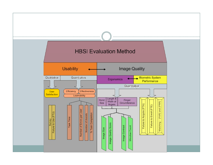